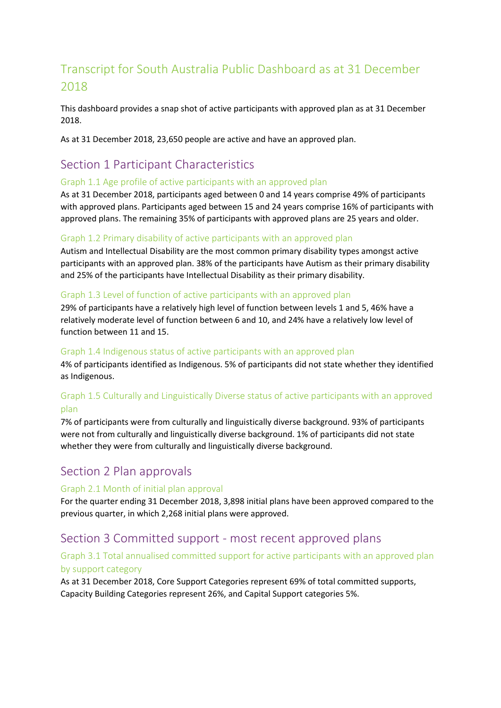# Transcript for South Australia Public Dashboard as at 31 December 2018

This dashboard provides a snap shot of active participants with approved plan as at 31 December 2018.

As at 31 December 2018, 23,650 people are active and have an approved plan.

# Section 1 Participant Characteristics

#### Graph 1.1 Age profile of active participants with an approved plan

As at 31 December 2018, participants aged between 0 and 14 years comprise 49% of participants with approved plans. Participants aged between 15 and 24 years comprise 16% of participants with approved plans. The remaining 35% of participants with approved plans are 25 years and older.

## Graph 1.2 Primary disability of active participants with an approved plan

Autism and Intellectual Disability are the most common primary disability types amongst active participants with an approved plan. 38% of the participants have Autism as their primary disability and 25% of the participants have Intellectual Disability as their primary disability.

#### Graph 1.3 Level of function of active participants with an approved plan

29% of participants have a relatively high level of function between levels 1 and 5, 46% have a relatively moderate level of function between 6 and 10, and 24% have a relatively low level of function between 11 and 15.

#### Graph 1.4 Indigenous status of active participants with an approved plan

4% of participants identified as Indigenous. 5% of participants did not state whether they identified as Indigenous.

## Graph 1.5 Culturally and Linguistically Diverse status of active participants with an approved plan

7% of participants were from culturally and linguistically diverse background. 93% of participants were not from culturally and linguistically diverse background. 1% of participants did not state whether they were from culturally and linguistically diverse background.

# Section 2 Plan approvals

#### Graph 2.1 Month of initial plan approval

For the quarter ending 31 December 2018, 3,898 initial plans have been approved compared to the previous quarter, in which 2,268 initial plans were approved.

# Section 3 Committed support - most recent approved plans

## Graph 3.1 Total annualised committed support for active participants with an approved plan by support category

As at 31 December 2018, Core Support Categories represent 69% of total committed supports, Capacity Building Categories represent 26%, and Capital Support categories 5%.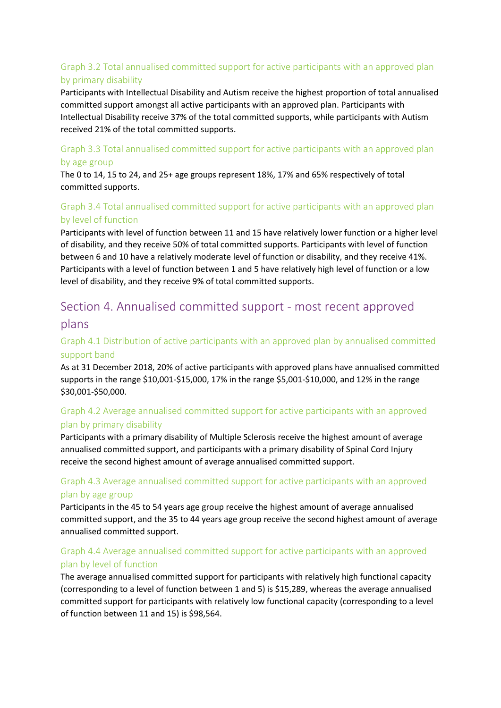# Graph 3.2 Total annualised committed support for active participants with an approved plan by primary disability

Participants with Intellectual Disability and Autism receive the highest proportion of total annualised committed support amongst all active participants with an approved plan. Participants with Intellectual Disability receive 37% of the total committed supports, while participants with Autism received 21% of the total committed supports.

#### Graph 3.3 Total annualised committed support for active participants with an approved plan by age group

The 0 to 14, 15 to 24, and 25+ age groups represent 18%, 17% and 65% respectively of total committed supports.

# Graph 3.4 Total annualised committed support for active participants with an approved plan by level of function

Participants with level of function between 11 and 15 have relatively lower function or a higher level of disability, and they receive 50% of total committed supports. Participants with level of function between 6 and 10 have a relatively moderate level of function or disability, and they receive 41%. Participants with a level of function between 1 and 5 have relatively high level of function or a low level of disability, and they receive 9% of total committed supports.

# Section 4. Annualised committed support - most recent approved plans

## Graph 4.1 Distribution of active participants with an approved plan by annualised committed support band

As at 31 December 2018, 20% of active participants with approved plans have annualised committed supports in the range \$10,001-\$15,000, 17% in the range \$5,001-\$10,000, and 12% in the range \$30,001-\$50,000.

## Graph 4.2 Average annualised committed support for active participants with an approved plan by primary disability

Participants with a primary disability of Multiple Sclerosis receive the highest amount of average annualised committed support, and participants with a primary disability of Spinal Cord Injury receive the second highest amount of average annualised committed support.

## Graph 4.3 Average annualised committed support for active participants with an approved plan by age group

Participants in the 45 to 54 years age group receive the highest amount of average annualised committed support, and the 35 to 44 years age group receive the second highest amount of average annualised committed support.

## Graph 4.4 Average annualised committed support for active participants with an approved plan by level of function

The average annualised committed support for participants with relatively high functional capacity (corresponding to a level of function between 1 and 5) is \$15,289, whereas the average annualised committed support for participants with relatively low functional capacity (corresponding to a level of function between 11 and 15) is \$98,564.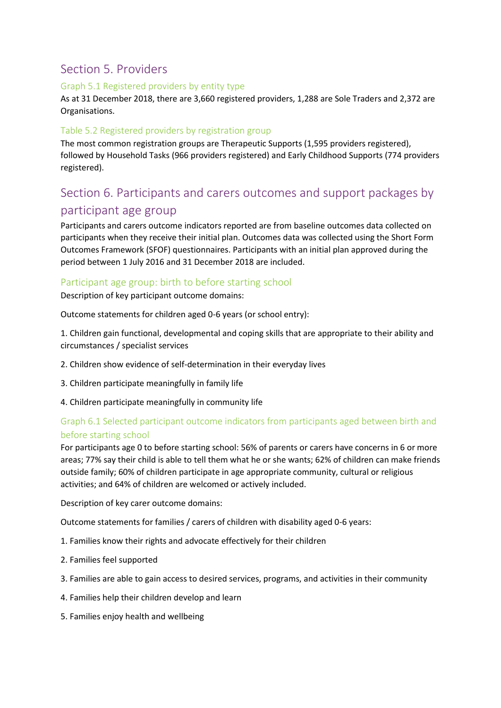# Section 5. Providers

#### Graph 5.1 Registered providers by entity type

As at 31 December 2018, there are 3,660 registered providers, 1,288 are Sole Traders and 2,372 are Organisations.

#### Table 5.2 Registered providers by registration group

The most common registration groups are Therapeutic Supports (1,595 providers registered), followed by Household Tasks (966 providers registered) and Early Childhood Supports (774 providers registered).

# Section 6. Participants and carers outcomes and support packages by

# participant age group

Participants and carers outcome indicators reported are from baseline outcomes data collected on participants when they receive their initial plan. Outcomes data was collected using the Short Form Outcomes Framework (SFOF) questionnaires. Participants with an initial plan approved during the period between 1 July 2016 and 31 December 2018 are included.

#### Participant age group: birth to before starting school

Description of key participant outcome domains:

Outcome statements for children aged 0-6 years (or school entry):

1. Children gain functional, developmental and coping skills that are appropriate to their ability and circumstances / specialist services

- 2. Children show evidence of self-determination in their everyday lives
- 3. Children participate meaningfully in family life
- 4. Children participate meaningfully in community life

## Graph 6.1 Selected participant outcome indicators from participants aged between birth and before starting school

For participants age 0 to before starting school: 56% of parents or carers have concerns in 6 or more areas; 77% say their child is able to tell them what he or she wants; 62% of children can make friends outside family; 60% of children participate in age appropriate community, cultural or religious activities; and 64% of children are welcomed or actively included.

Description of key carer outcome domains:

Outcome statements for families / carers of children with disability aged 0-6 years:

- 1. Families know their rights and advocate effectively for their children
- 2. Families feel supported
- 3. Families are able to gain access to desired services, programs, and activities in their community
- 4. Families help their children develop and learn
- 5. Families enjoy health and wellbeing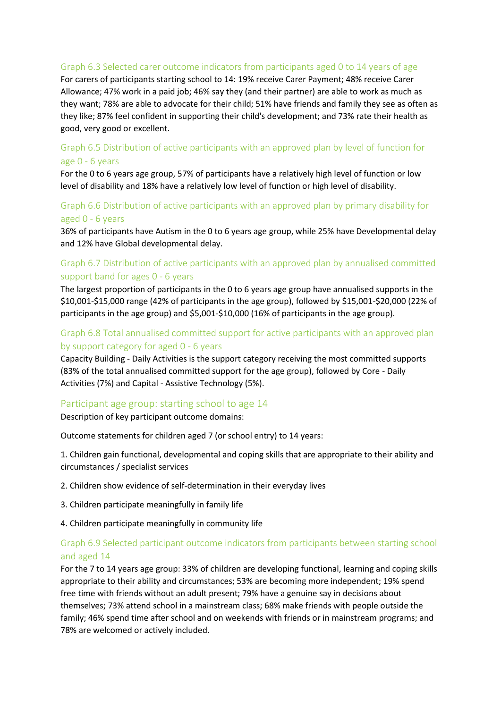#### Graph 6.3 Selected carer outcome indicators from participants aged 0 to 14 years of age

For carers of participants starting school to 14: 19% receive Carer Payment; 48% receive Carer Allowance; 47% work in a paid job; 46% say they (and their partner) are able to work as much as they want; 78% are able to advocate for their child; 51% have friends and family they see as often as they like; 87% feel confident in supporting their child's development; and 73% rate their health as good, very good or excellent.

#### Graph 6.5 Distribution of active participants with an approved plan by level of function for age 0 - 6 years

For the 0 to 6 years age group, 57% of participants have a relatively high level of function or low level of disability and 18% have a relatively low level of function or high level of disability.

#### Graph 6.6 Distribution of active participants with an approved plan by primary disability for aged 0 - 6 years

36% of participants have Autism in the 0 to 6 years age group, while 25% have Developmental delay and 12% have Global developmental delay.

## Graph 6.7 Distribution of active participants with an approved plan by annualised committed support band for ages 0 - 6 years

The largest proportion of participants in the 0 to 6 years age group have annualised supports in the \$10,001-\$15,000 range (42% of participants in the age group), followed by \$15,001-\$20,000 (22% of participants in the age group) and \$5,001-\$10,000 (16% of participants in the age group).

## Graph 6.8 Total annualised committed support for active participants with an approved plan by support category for aged 0 - 6 years

Capacity Building - Daily Activities is the support category receiving the most committed supports (83% of the total annualised committed support for the age group), followed by Core - Daily Activities (7%) and Capital - Assistive Technology (5%).

#### Participant age group: starting school to age 14

Description of key participant outcome domains:

Outcome statements for children aged 7 (or school entry) to 14 years:

1. Children gain functional, developmental and coping skills that are appropriate to their ability and circumstances / specialist services

2. Children show evidence of self-determination in their everyday lives

3. Children participate meaningfully in family life

4. Children participate meaningfully in community life

#### Graph 6.9 Selected participant outcome indicators from participants between starting school and aged 14

For the 7 to 14 years age group: 33% of children are developing functional, learning and coping skills appropriate to their ability and circumstances; 53% are becoming more independent; 19% spend free time with friends without an adult present; 79% have a genuine say in decisions about themselves; 73% attend school in a mainstream class; 68% make friends with people outside the family; 46% spend time after school and on weekends with friends or in mainstream programs; and 78% are welcomed or actively included.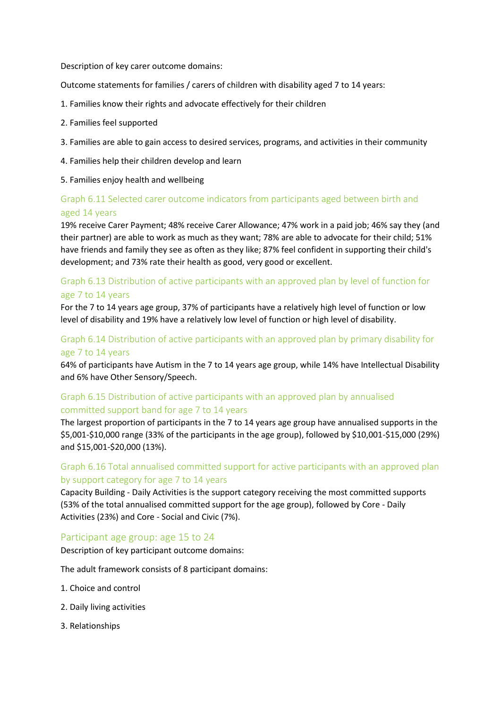Description of key carer outcome domains:

Outcome statements for families / carers of children with disability aged 7 to 14 years:

- 1. Families know their rights and advocate effectively for their children
- 2. Families feel supported
- 3. Families are able to gain access to desired services, programs, and activities in their community
- 4. Families help their children develop and learn
- 5. Families enjoy health and wellbeing

## Graph 6.11 Selected carer outcome indicators from participants aged between birth and aged 14 years

19% receive Carer Payment; 48% receive Carer Allowance; 47% work in a paid job; 46% say they (and their partner) are able to work as much as they want; 78% are able to advocate for their child; 51% have friends and family they see as often as they like; 87% feel confident in supporting their child's development; and 73% rate their health as good, very good or excellent.

#### Graph 6.13 Distribution of active participants with an approved plan by level of function for age 7 to 14 years

For the 7 to 14 years age group, 37% of participants have a relatively high level of function or low level of disability and 19% have a relatively low level of function or high level of disability.

#### Graph 6.14 Distribution of active participants with an approved plan by primary disability for age 7 to 14 years

64% of participants have Autism in the 7 to 14 years age group, while 14% have Intellectual Disability and 6% have Other Sensory/Speech.

#### Graph 6.15 Distribution of active participants with an approved plan by annualised committed support band for age 7 to 14 years

The largest proportion of participants in the 7 to 14 years age group have annualised supports in the \$5,001-\$10,000 range (33% of the participants in the age group), followed by \$10,001-\$15,000 (29%) and \$15,001-\$20,000 (13%).

#### Graph 6.16 Total annualised committed support for active participants with an approved plan by support category for age 7 to 14 years

Capacity Building - Daily Activities is the support category receiving the most committed supports (53% of the total annualised committed support for the age group), followed by Core - Daily Activities (23%) and Core - Social and Civic (7%).

#### Participant age group: age 15 to 24

Description of key participant outcome domains:

The adult framework consists of 8 participant domains:

- 1. Choice and control
- 2. Daily living activities
- 3. Relationships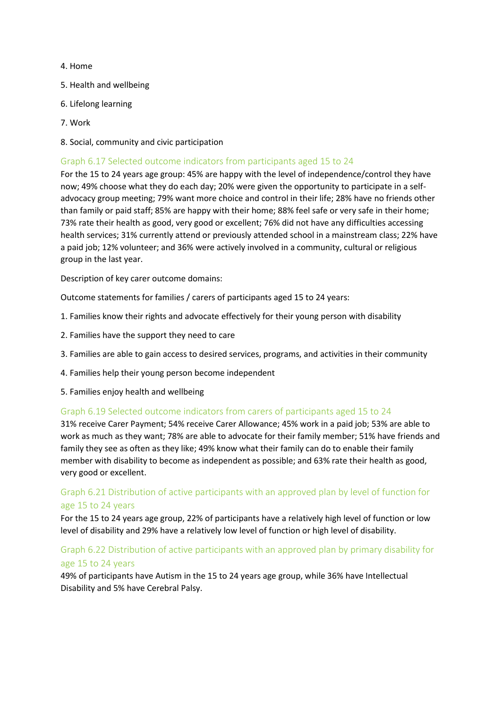#### 4. Home

- 5. Health and wellbeing
- 6. Lifelong learning
- 7. Work
- 8. Social, community and civic participation

#### Graph 6.17 Selected outcome indicators from participants aged 15 to 24

For the 15 to 24 years age group: 45% are happy with the level of independence/control they have now; 49% choose what they do each day; 20% were given the opportunity to participate in a selfadvocacy group meeting; 79% want more choice and control in their life; 28% have no friends other than family or paid staff; 85% are happy with their home; 88% feel safe or very safe in their home; 73% rate their health as good, very good or excellent; 76% did not have any difficulties accessing health services; 31% currently attend or previously attended school in a mainstream class; 22% have a paid job; 12% volunteer; and 36% were actively involved in a community, cultural or religious group in the last year.

Description of key carer outcome domains:

Outcome statements for families / carers of participants aged 15 to 24 years:

- 1. Families know their rights and advocate effectively for their young person with disability
- 2. Families have the support they need to care
- 3. Families are able to gain access to desired services, programs, and activities in their community
- 4. Families help their young person become independent
- 5. Families enjoy health and wellbeing

#### Graph 6.19 Selected outcome indicators from carers of participants aged 15 to 24

31% receive Carer Payment; 54% receive Carer Allowance; 45% work in a paid job; 53% are able to work as much as they want; 78% are able to advocate for their family member; 51% have friends and family they see as often as they like; 49% know what their family can do to enable their family member with disability to become as independent as possible; and 63% rate their health as good, very good or excellent.

#### Graph 6.21 Distribution of active participants with an approved plan by level of function for age 15 to 24 years

For the 15 to 24 years age group, 22% of participants have a relatively high level of function or low level of disability and 29% have a relatively low level of function or high level of disability.

## Graph 6.22 Distribution of active participants with an approved plan by primary disability for age 15 to 24 years

49% of participants have Autism in the 15 to 24 years age group, while 36% have Intellectual Disability and 5% have Cerebral Palsy.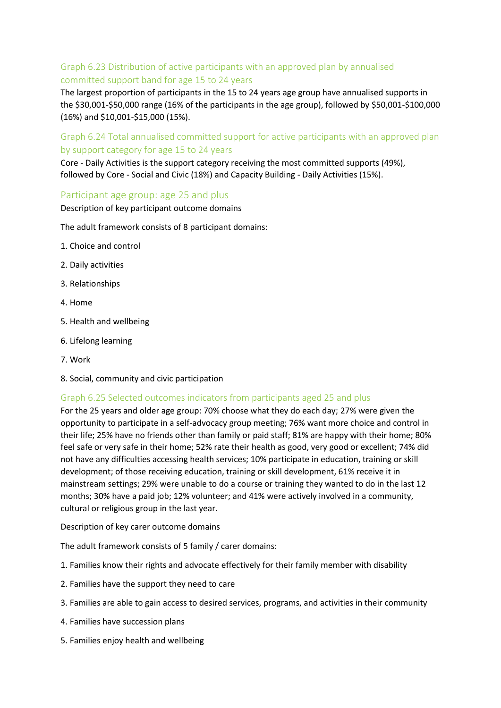## Graph 6.23 Distribution of active participants with an approved plan by annualised committed support band for age 15 to 24 years

The largest proportion of participants in the 15 to 24 years age group have annualised supports in the \$30,001-\$50,000 range (16% of the participants in the age group), followed by \$50,001-\$100,000 (16%) and \$10,001-\$15,000 (15%).

Graph 6.24 Total annualised committed support for active participants with an approved plan by support category for age 15 to 24 years

Core - Daily Activities is the support category receiving the most committed supports (49%), followed by Core - Social and Civic (18%) and Capacity Building - Daily Activities (15%).

#### Participant age group: age 25 and plus

Description of key participant outcome domains

The adult framework consists of 8 participant domains:

- 1. Choice and control
- 2. Daily activities
- 3. Relationships
- 4. Home
- 5. Health and wellbeing
- 6. Lifelong learning
- 7. Work
- 8. Social, community and civic participation

#### Graph 6.25 Selected outcomes indicators from participants aged 25 and plus

For the 25 years and older age group: 70% choose what they do each day; 27% were given the opportunity to participate in a self-advocacy group meeting; 76% want more choice and control in their life; 25% have no friends other than family or paid staff; 81% are happy with their home; 80% feel safe or very safe in their home; 52% rate their health as good, very good or excellent; 74% did not have any difficulties accessing health services; 10% participate in education, training or skill development; of those receiving education, training or skill development, 61% receive it in mainstream settings; 29% were unable to do a course or training they wanted to do in the last 12 months; 30% have a paid job; 12% volunteer; and 41% were actively involved in a community, cultural or religious group in the last year.

Description of key carer outcome domains

The adult framework consists of 5 family / carer domains:

- 1. Families know their rights and advocate effectively for their family member with disability
- 2. Families have the support they need to care
- 3. Families are able to gain access to desired services, programs, and activities in their community
- 4. Families have succession plans
- 5. Families enjoy health and wellbeing